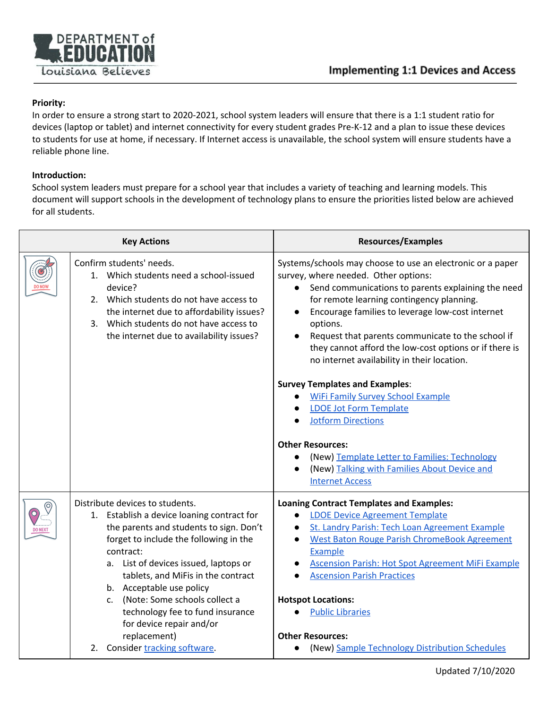

## **Priority:**

In order to ensure a strong start to 2020-2021, school system leaders will ensure that there is a 1:1 student ratio for devices (laptop or tablet) and internet connectivity for every student grades Pre-K-12 and a plan to issue these devices to students for use at home, if necessary. If Internet access is unavailable, the school system will ensure students have a reliable phone line.

## **Introduction:**

School system leaders must prepare for a school year that includes a variety of teaching and learning models. This document will support schools in the development of technology plans to ensure the priorities listed below are achieved for all students.

|                | <b>Key Actions</b>                                                                                                                                                                                                                                                                                                                                                                                                                                  | <b>Resources/Examples</b>                                                                                                                                                                                                                                                                                                                                                                                                                                                                                                                                                                                                                                                                                                                                 |
|----------------|-----------------------------------------------------------------------------------------------------------------------------------------------------------------------------------------------------------------------------------------------------------------------------------------------------------------------------------------------------------------------------------------------------------------------------------------------------|-----------------------------------------------------------------------------------------------------------------------------------------------------------------------------------------------------------------------------------------------------------------------------------------------------------------------------------------------------------------------------------------------------------------------------------------------------------------------------------------------------------------------------------------------------------------------------------------------------------------------------------------------------------------------------------------------------------------------------------------------------------|
|                | Confirm students' needs.<br>1. Which students need a school-issued<br>device?<br>2. Which students do not have access to<br>the internet due to affordability issues?<br>3. Which students do not have access to<br>the internet due to availability issues?                                                                                                                                                                                        | Systems/schools may choose to use an electronic or a paper<br>survey, where needed. Other options:<br>Send communications to parents explaining the need<br>for remote learning contingency planning.<br>Encourage families to leverage low-cost internet<br>options.<br>Request that parents communicate to the school if<br>they cannot afford the low-cost options or if there is<br>no internet availability in their location.<br><b>Survey Templates and Examples:</b><br><b>WiFi Family Survey School Example</b><br><b>LDOE Jot Form Template</b><br><b>Jotform Directions</b><br><b>Other Resources:</b><br>(New) Template Letter to Families: Technology<br>$\bullet$<br>(New) Talking with Families About Device and<br><b>Internet Access</b> |
| <b>DO NEXT</b> | Distribute devices to students.<br>1. Establish a device loaning contract for<br>the parents and students to sign. Don't<br>forget to include the following in the<br>contract:<br>a. List of devices issued, laptops or<br>tablets, and MiFis in the contract<br>b. Acceptable use policy<br>(Note: Some schools collect a<br>C.<br>technology fee to fund insurance<br>for device repair and/or<br>replacement)<br>2. Consider tracking software. | <b>Loaning Contract Templates and Examples:</b><br><b>LDOE Device Agreement Template</b><br>$\bullet$<br>St. Landry Parish: Tech Loan Agreement Example<br><b>West Baton Rouge Parish ChromeBook Agreement</b><br><b>Example</b><br><b>Ascension Parish: Hot Spot Agreement MiFi Example</b><br><b>Ascension Parish Practices</b><br><b>Hotspot Locations:</b><br><b>Public Libraries</b><br><b>Other Resources:</b><br>(New) Sample Technology Distribution Schedules                                                                                                                                                                                                                                                                                    |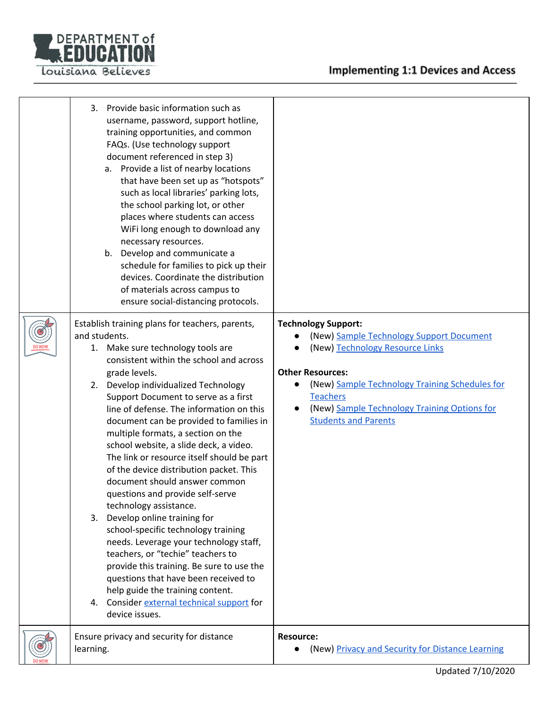



| 3.<br>Provide basic information such as<br>username, password, support hotline,<br>training opportunities, and common<br>FAQs. (Use technology support<br>document referenced in step 3)<br>a. Provide a list of nearby locations<br>that have been set up as "hotspots"<br>such as local libraries' parking lots,<br>the school parking lot, or other<br>places where students can access<br>WiFi long enough to download any<br>necessary resources.<br>Develop and communicate a<br>b.<br>schedule for families to pick up their<br>devices. Coordinate the distribution<br>of materials across campus to<br>ensure social-distancing protocols.                                                                                                                                                                                                                                                                                                                        |                                                                                                                                                                                                                                                                                                                    |
|----------------------------------------------------------------------------------------------------------------------------------------------------------------------------------------------------------------------------------------------------------------------------------------------------------------------------------------------------------------------------------------------------------------------------------------------------------------------------------------------------------------------------------------------------------------------------------------------------------------------------------------------------------------------------------------------------------------------------------------------------------------------------------------------------------------------------------------------------------------------------------------------------------------------------------------------------------------------------|--------------------------------------------------------------------------------------------------------------------------------------------------------------------------------------------------------------------------------------------------------------------------------------------------------------------|
| Establish training plans for teachers, parents,<br>and students.<br>1. Make sure technology tools are<br>consistent within the school and across<br>grade levels.<br>Develop individualized Technology<br>2.<br>Support Document to serve as a first<br>line of defense. The information on this<br>document can be provided to families in<br>multiple formats, a section on the<br>school website, a slide deck, a video.<br>The link or resource itself should be part<br>of the device distribution packet. This<br>document should answer common<br>questions and provide self-serve<br>technology assistance.<br>Develop online training for<br>3.<br>school-specific technology training<br>needs. Leverage your technology staff,<br>teachers, or "techie" teachers to<br>provide this training. Be sure to use the<br>questions that have been received to<br>help guide the training content.<br>Consider external technical support for<br>4.<br>device issues. | <b>Technology Support:</b><br>(New) Sample Technology Support Document<br>(New) Technology Resource Links<br><b>Other Resources:</b><br>(New) Sample Technology Training Schedules for<br>$\bullet$<br><b>Teachers</b><br>(New) Sample Technology Training Options for<br>$\bullet$<br><b>Students and Parents</b> |
| Ensure privacy and security for distance<br>learning.                                                                                                                                                                                                                                                                                                                                                                                                                                                                                                                                                                                                                                                                                                                                                                                                                                                                                                                      | <b>Resource:</b><br>(New) Privacy and Security for Distance Learning<br>$\bullet$                                                                                                                                                                                                                                  |